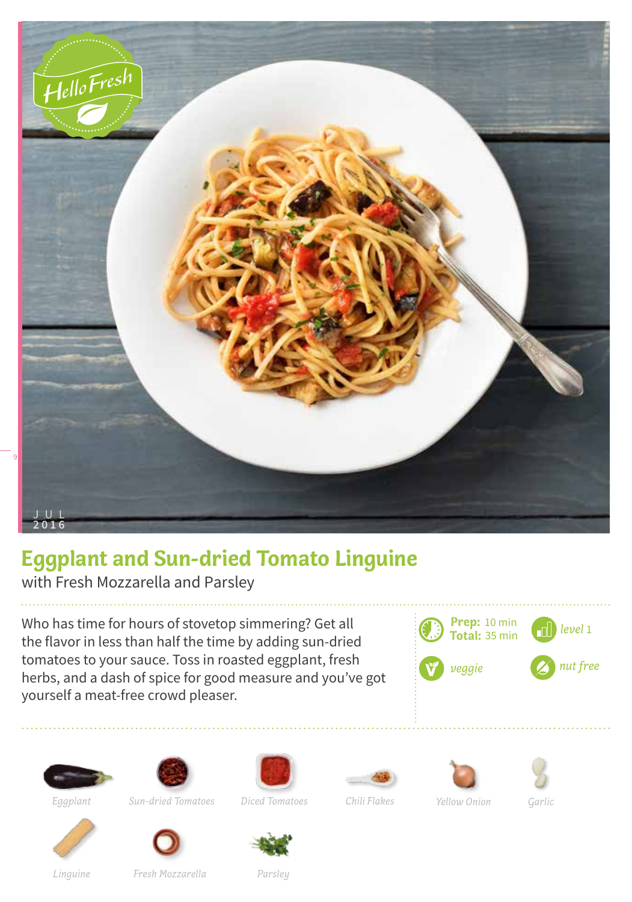

## **Eggplant and Sun-dried Tomato Linguine**

with Fresh Mozzarella and Parsley

Who has time for hours of stovetop simmering? Get all the flavor in less than half the time by adding sun-dried tomatoes to your sauce. Toss in roasted eggplant, fresh herbs, and a dash of spice for good measure and you've got yourself a meat-free crowd pleaser.

















*Eggplant*

*Sun-dried Tomatoes*

*Fresh Mozzarella*

*Diced Tomatoes*





*Chili Flakes Yellow Onion Garlic*



*Linguine*

*Parsley*